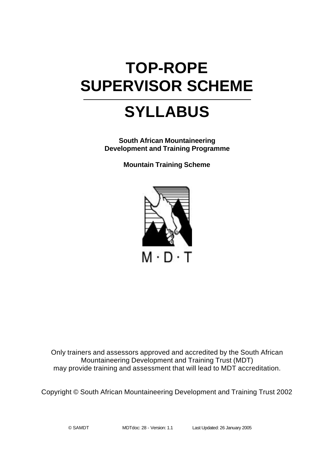# **TOP-ROPE SUPERVISOR SCHEME**

# **SYLLABUS**

**South African Mountaineering Development and Training Programme**

**Mountain Training Scheme**



Only trainers and assessors approved and accredited by the South African Mountaineering Development and Training Trust (MDT) may provide training and assessment that will lead to MDT accreditation.

Copyright © South African Mountaineering Development and Training Trust 2002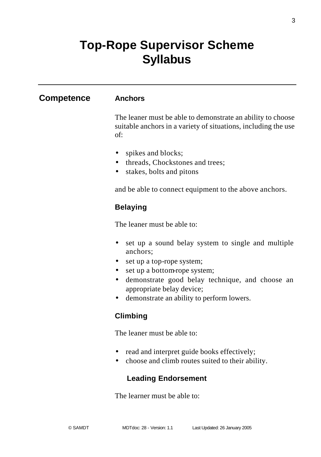### **Top-Rope Supervisor Scheme Syllabus**

#### **Competence Anchors**

The leaner must be able to demonstrate an ability to choose suitable anchors in a variety of situations, including the use of:

- spikes and blocks;
- threads, Chockstones and trees;
- stakes, bolts and pitons

and be able to connect equipment to the above anchors.

#### **Belaying**

The leaner must be able to:

- set up a sound belay system to single and multiple anchors;
- set up a top-rope system;
- set up a bottom-rope system;
- demonstrate good belay technique, and choose an appropriate belay device;
- demonstrate an ability to perform lowers.

#### **Climbing**

The leaner must be able to:

- read and interpret guide books effectively;
- choose and climb routes suited to their ability.

#### **Leading Endorsement**

The learner must be able to: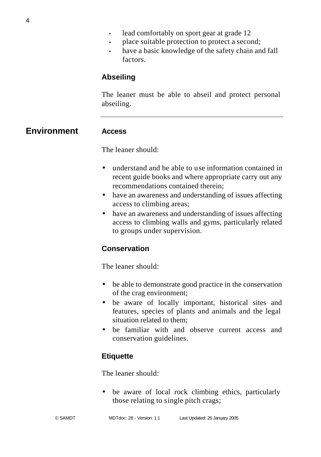- place suitable protection to protect a second;
- have a basic knowledge of the safety chain and fall factors.

#### **Abseiling**

The leaner must be able to abseil and protect personal abseiling.

**Environment Access**

The leaner should:

- understand and be able to use information contained in recent guide books and where appropriate carry out any recommendations contained therein;
- have an awareness and understanding of issues affecting access to climbing areas;
- have an awareness and understanding of issues affecting access to climbing walls and gyms, particularly related to groups under supervision.

#### **Conservation**

The leaner should:

- be able to demonstrate good practice in the conservation of the crag environment;
- be aware of locally important, historical sites and features, species of plants and animals and the legal situation related to them;
- be familiar with and observe current access and conservation guidelines.

#### **Etiquette**

The leaner should:

• be aware of local rock climbing ethics, particularly those relating to single pitch crags;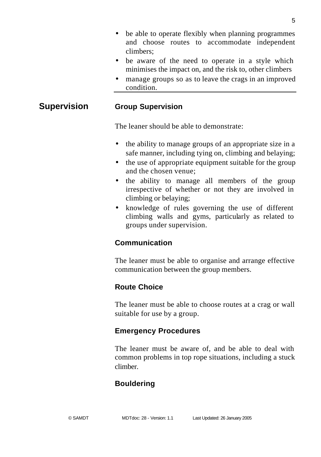- be able to operate flexibly when planning programmes and choose routes to accommodate independent climbers;
- be aware of the need to operate in a style which minimises the impact on, and the risk to, other climbers
- manage groups so as to leave the crags in an improved condition.

#### **Supervision Group Supervision**

The leaner should be able to demonstrate:

- the ability to manage groups of an appropriate size in a safe manner, including tying on, climbing and belaying;
- the use of appropriate equipment suitable for the group and the chosen venue;
- the ability to manage all members of the group irrespective of whether or not they are involved in climbing or belaying;
- knowledge of rules governing the use of different climbing walls and gyms, particularly as related to groups under supervision.

#### **Communication**

The leaner must be able to organise and arrange effective communication between the group members.

#### **Route Choice**

The leaner must be able to choose routes at a crag or wall suitable for use by a group.

#### **Emergency Procedures**

The leaner must be aware of, and be able to deal with common problems in top rope situations, including a stuck climber.

#### **Bouldering**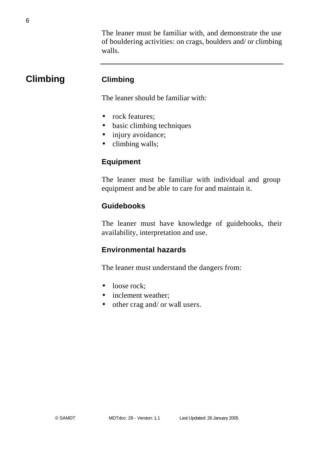The leaner must be familiar with, and demonstrate the use of bouldering activities: on crags, boulders and/ or climbing walls.

### **Climbing Climbing**

The leaner should be familiar with:

- rock features:
- basic climbing techniques
- injury avoidance;
- climbing walls;

#### **Equipment**

The leaner must be familiar with individual and group equipment and be able to care for and maintain it.

#### **Guidebooks**

The leaner must have knowledge of guidebooks, their availability, interpretation and use.

#### **Environmental hazards**

The leaner must understand the dangers from:

- loose rock:
- inclement weather:
- other crag and/ or wall users.